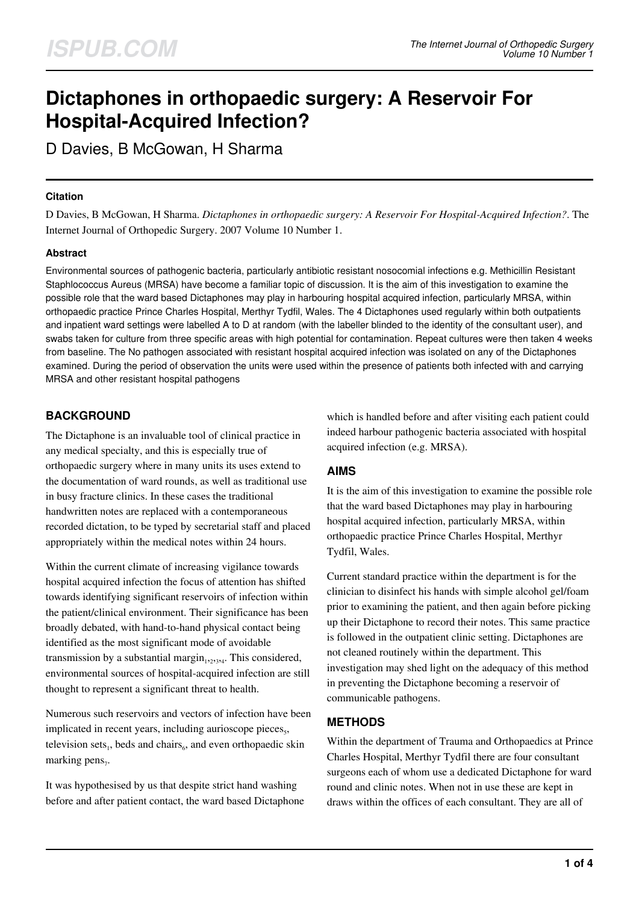# **Dictaphones in orthopaedic surgery: A Reservoir For Hospital-Acquired Infection?**

D Davies, B McGowan, H Sharma

#### **Citation**

D Davies, B McGowan, H Sharma. *Dictaphones in orthopaedic surgery: A Reservoir For Hospital-Acquired Infection?*. The Internet Journal of Orthopedic Surgery. 2007 Volume 10 Number 1.

## **Abstract**

Environmental sources of pathogenic bacteria, particularly antibiotic resistant nosocomial infections e.g. Methicillin Resistant Staphlococcus Aureus (MRSA) have become a familiar topic of discussion. It is the aim of this investigation to examine the possible role that the ward based Dictaphones may play in harbouring hospital acquired infection, particularly MRSA, within orthopaedic practice Prince Charles Hospital, Merthyr Tydfil, Wales. The 4 Dictaphones used regularly within both outpatients and inpatient ward settings were labelled A to D at random (with the labeller blinded to the identity of the consultant user), and swabs taken for culture from three specific areas with high potential for contamination. Repeat cultures were then taken 4 weeks from baseline. The No pathogen associated with resistant hospital acquired infection was isolated on any of the Dictaphones examined. During the period of observation the units were used within the presence of patients both infected with and carrying MRSA and other resistant hospital pathogens

## **BACKGROUND**

The Dictaphone is an invaluable tool of clinical practice in any medical specialty, and this is especially true of orthopaedic surgery where in many units its uses extend to the documentation of ward rounds, as well as traditional use in busy fracture clinics. In these cases the traditional handwritten notes are replaced with a contemporaneous recorded dictation, to be typed by secretarial staff and placed appropriately within the medical notes within 24 hours.

Within the current climate of increasing vigilance towards hospital acquired infection the focus of attention has shifted towards identifying significant reservoirs of infection within the patient/clinical environment. Their significance has been broadly debated, with hand-to-hand physical contact being identified as the most significant mode of avoidable transmission by a substantial margin<sub>1,2,3,4</sub>. This considered, environmental sources of hospital-acquired infection are still thought to represent a significant threat to health.

Numerous such reservoirs and vectors of infection have been implicated in recent years, including aurioscope pieces<sub>5</sub>, television sets<sub>1</sub>, beds and chairs $_6$ , and even orthopaedic skin marking pens<sub>7</sub>.

It was hypothesised by us that despite strict hand washing before and after patient contact, the ward based Dictaphone which is handled before and after visiting each patient could indeed harbour pathogenic bacteria associated with hospital acquired infection (e.g. MRSA).

## **AIMS**

It is the aim of this investigation to examine the possible role that the ward based Dictaphones may play in harbouring hospital acquired infection, particularly MRSA, within orthopaedic practice Prince Charles Hospital, Merthyr Tydfil, Wales.

Current standard practice within the department is for the clinician to disinfect his hands with simple alcohol gel/foam prior to examining the patient, and then again before picking up their Dictaphone to record their notes. This same practice is followed in the outpatient clinic setting. Dictaphones are not cleaned routinely within the department. This investigation may shed light on the adequacy of this method in preventing the Dictaphone becoming a reservoir of communicable pathogens.

## **METHODS**

Within the department of Trauma and Orthopaedics at Prince Charles Hospital, Merthyr Tydfil there are four consultant surgeons each of whom use a dedicated Dictaphone for ward round and clinic notes. When not in use these are kept in draws within the offices of each consultant. They are all of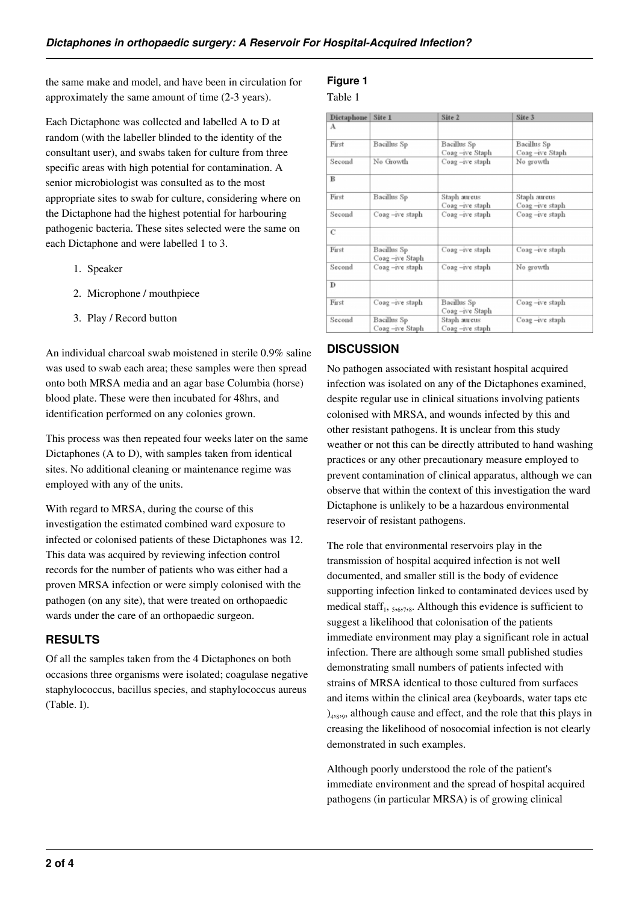the same make and model, and have been in circulation for approximately the same amount of time (2-3 years).

Each Dictaphone was collected and labelled A to D at random (with the labeller blinded to the identity of the consultant user), and swabs taken for culture from three specific areas with high potential for contamination. A senior microbiologist was consulted as to the most appropriate sites to swab for culture, considering where on the Dictaphone had the highest potential for harbouring pathogenic bacteria. These sites selected were the same on each Dictaphone and were labelled 1 to 3.

- 1. Speaker
- 2. Microphone / mouthpiece
- 3. Play / Record button

An individual charcoal swab moistened in sterile 0.9% saline was used to swab each area; these samples were then spread onto both MRSA media and an agar base Columbia (horse) blood plate. These were then incubated for 48hrs, and identification performed on any colonies grown.

This process was then repeated four weeks later on the same Dictaphones (A to D), with samples taken from identical sites. No additional cleaning or maintenance regime was employed with any of the units.

With regard to MRSA, during the course of this investigation the estimated combined ward exposure to infected or colonised patients of these Dictaphones was 12. This data was acquired by reviewing infection control records for the number of patients who was either had a proven MRSA infection or were simply colonised with the pathogen (on any site), that were treated on orthopaedic wards under the care of an orthopaedic surgeon.

## **RESULTS**

Of all the samples taken from the 4 Dictaphones on both occasions three organisms were isolated; coagulase negative staphylococcus, bacillus species, and staphylococcus aureus (Table. I).

# **Figure 1**

## Table 1

| <b>Dictaphone</b> | Site 1                        | Site 2                            | Site 3                         |
|-------------------|-------------------------------|-----------------------------------|--------------------------------|
| А                 |                               |                                   |                                |
| First             | Bacillus Sp                   | Bacillus Sp<br>Coag-ive Staph     | Bacillus Sp<br>Coag-ive Staph  |
| Second            | No Growth                     | Coag-ive staph                    | No growth                      |
| B                 |                               |                                   |                                |
| First             | Bacillus Sp                   | Staph aureus<br>Coag-ive staph    | Staph aureus<br>Coag-ive staph |
| Second            | Coag-ive staph                | Coag-ive staph                    | Coag-ive staph                 |
| C                 |                               |                                   |                                |
| First             | Bacillus Sp<br>Coag-ive Staph | Coag-ive staph                    | Coag-ive staph                 |
| Second            | Coag-ive staph                | Coag-ive staph                    | No growth                      |
| D                 |                               |                                   |                                |
| First             | Coag-ive staph                | Bacillus Sp<br>Coag-ive Staph     | Coag-ive staph                 |
| Second            | Bacillus Sp<br>Coag-ive Staph | Staph aureus<br>$Coag -ive staph$ | Coag-ive staph                 |

## **DISCUSSION**

No pathogen associated with resistant hospital acquired infection was isolated on any of the Dictaphones examined, despite regular use in clinical situations involving patients colonised with MRSA, and wounds infected by this and other resistant pathogens. It is unclear from this study weather or not this can be directly attributed to hand washing practices or any other precautionary measure employed to prevent contamination of clinical apparatus, although we can observe that within the context of this investigation the ward Dictaphone is unlikely to be a hazardous environmental reservoir of resistant pathogens.

The role that environmental reservoirs play in the transmission of hospital acquired infection is not well documented, and smaller still is the body of evidence supporting infection linked to contaminated devices used by medical staff<sub>1</sub>,  $_{5,67,78}$ . Although this evidence is sufficient to suggest a likelihood that colonisation of the patients immediate environment may play a significant role in actual infection. There are although some small published studies demonstrating small numbers of patients infected with strains of MRSA identical to those cultured from surfaces and items within the clinical area (keyboards, water taps etc )<sub>4,8,9</sub>, although cause and effect, and the role that this plays in creasing the likelihood of nosocomial infection is not clearly demonstrated in such examples.

Although poorly understood the role of the patient's immediate environment and the spread of hospital acquired pathogens (in particular MRSA) is of growing clinical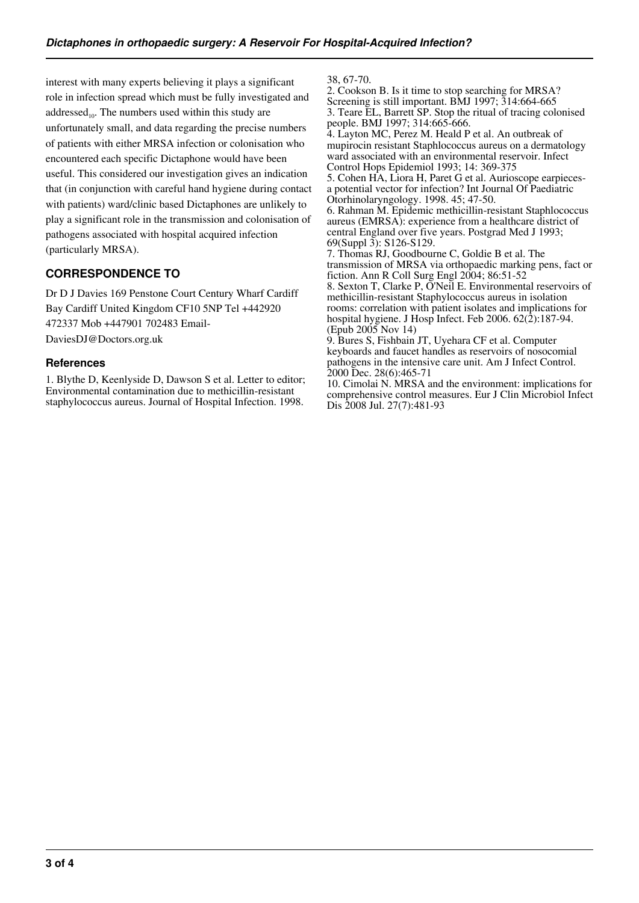interest with many experts believing it plays a significant role in infection spread which must be fully investigated and addressed<sub>10</sub>. The numbers used within this study are unfortunately small, and data regarding the precise numbers of patients with either MRSA infection or colonisation who encountered each specific Dictaphone would have been useful. This considered our investigation gives an indication that (in conjunction with careful hand hygiene during contact with patients) ward/clinic based Dictaphones are unlikely to play a significant role in the transmission and colonisation of pathogens associated with hospital acquired infection (particularly MRSA).

# **CORRESPONDENCE TO**

Dr D J Davies 169 Penstone Court Century Wharf Cardiff Bay Cardiff United Kingdom CF10 5NP Tel +442920 472337 Mob +447901 702483 Email-DaviesDJ@Doctors.org.uk

#### **References**

1. Blythe D, Keenlyside D, Dawson S et al. Letter to editor; Environmental contamination due to methicillin-resistant staphylococcus aureus. Journal of Hospital Infection. 1998.

38, 67-70.

2. Cookson B. Is it time to stop searching for MRSA? Screening is still important. BMJ 1997;  $\overline{3}14:664-665$ 3. Teare EL, Barrett SP. Stop the ritual of tracing colonised people. BMJ 1997; 314:665-666. 4. Layton MC, Perez M. Heald P et al. An outbreak of

mupirocin resistant Staphlococcus aureus on a dermatology ward associated with an environmental reservoir. Infect Control Hops Epidemiol 1993; 14: 369-375

5. Cohen HA, Liora H, Paret G et al. Aurioscope earpiecesa potential vector for infection? Int Journal Of Paediatric Otorhinolaryngology. 1998. 45; 47-50.

6. Rahman M. Epidemic methicillin-resistant Staphlococcus aureus (EMRSA): experience from a healthcare district of central England over five years. Postgrad Med J 1993; 69(Suppl 3): S126-S129.

7. Thomas RJ, Goodbourne C, Goldie B et al. The transmission of MRSA via orthopaedic marking pens, fact or fiction. Ann R Coll Surg Engl 2004; 86:51-52

8. Sexton T, Clarke P, O'Neil E. Environmental reservoirs of methicillin-resistant Staphylococcus aureus in isolation rooms: correlation with patient isolates and implications for hospital hygiene. J Hosp Infect. Feb 2006.  $62(\overline{2})$ :187-94. (Epub 2005 Nov 14)

9. Bures S, Fishbain JT, Uyehara CF et al. Computer keyboards and faucet handles as reservoirs of nosocomial pathogens in the intensive care unit. Am J Infect Control. 2000 Dec. 28(6):465-71

10. Cimolai N. MRSA and the environment: implications for comprehensive control measures. Eur J Clin Microbiol Infect Dis 2008 Jul. 27(7):481-93